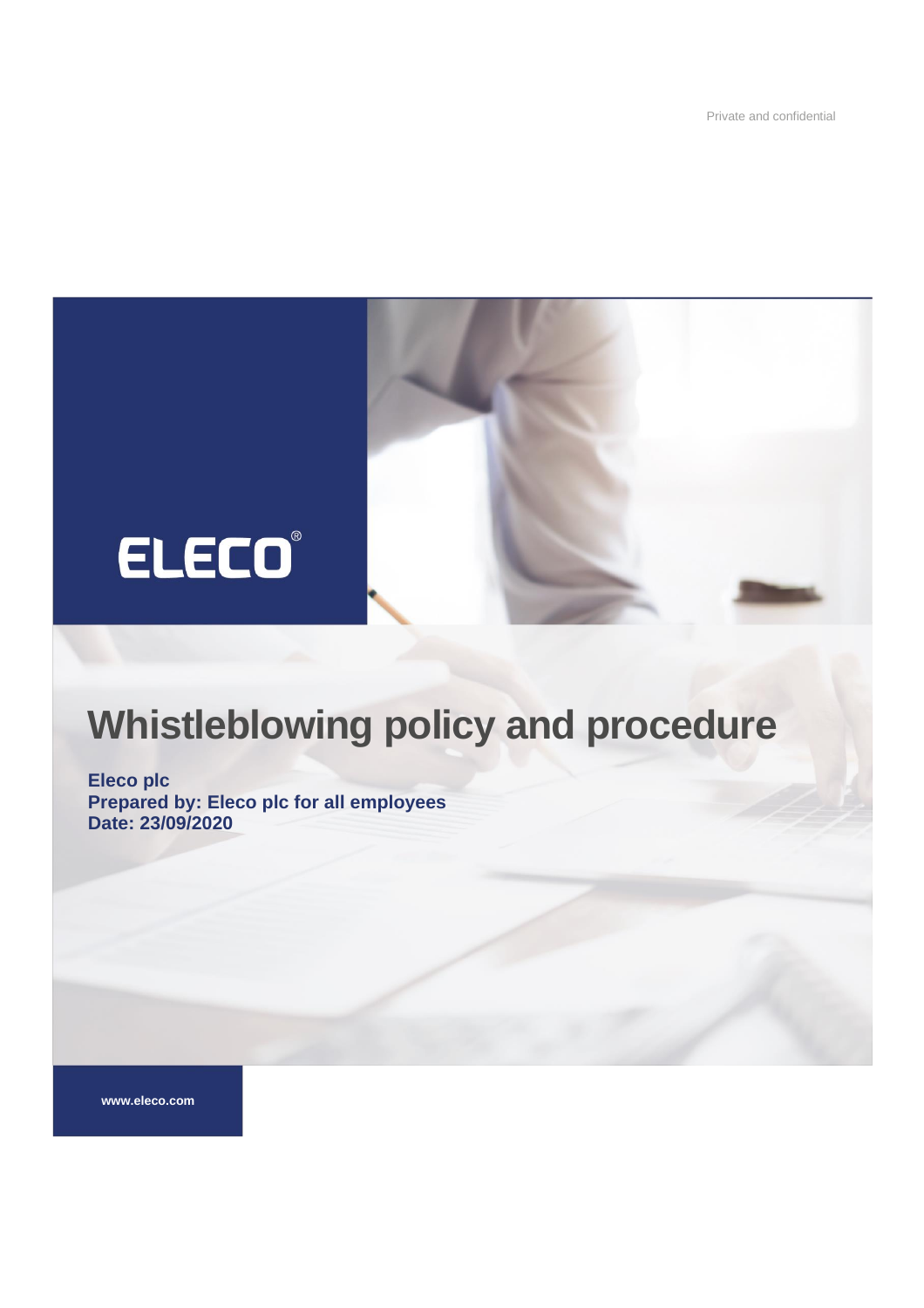Private and confidential



# **Whistleblowing policy and procedure**

**Eleco plc Prepared by: Eleco plc for all employees Date: 23/09/2020**

**www.eleco.com**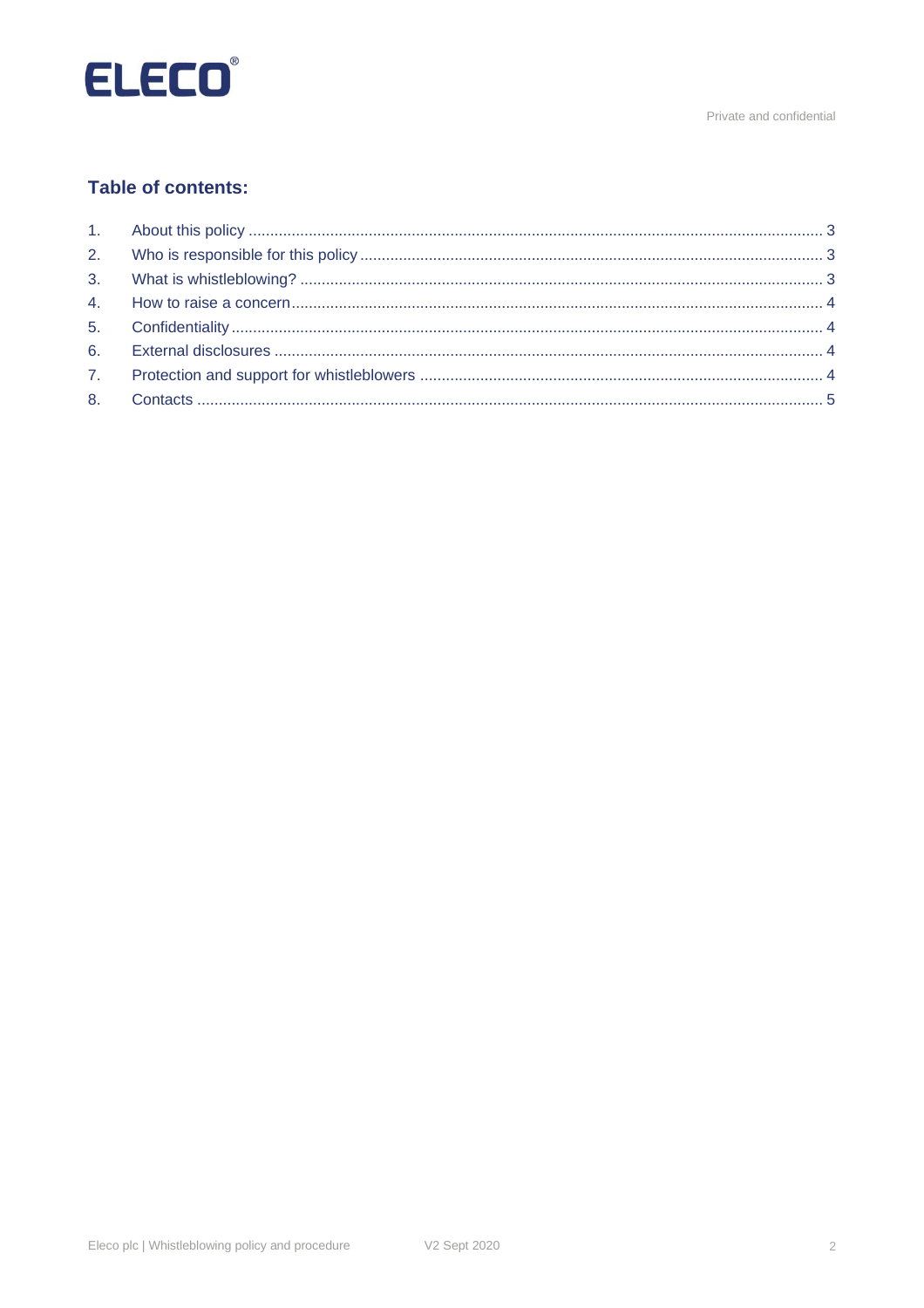

Private and confidential

# **Table of contents:**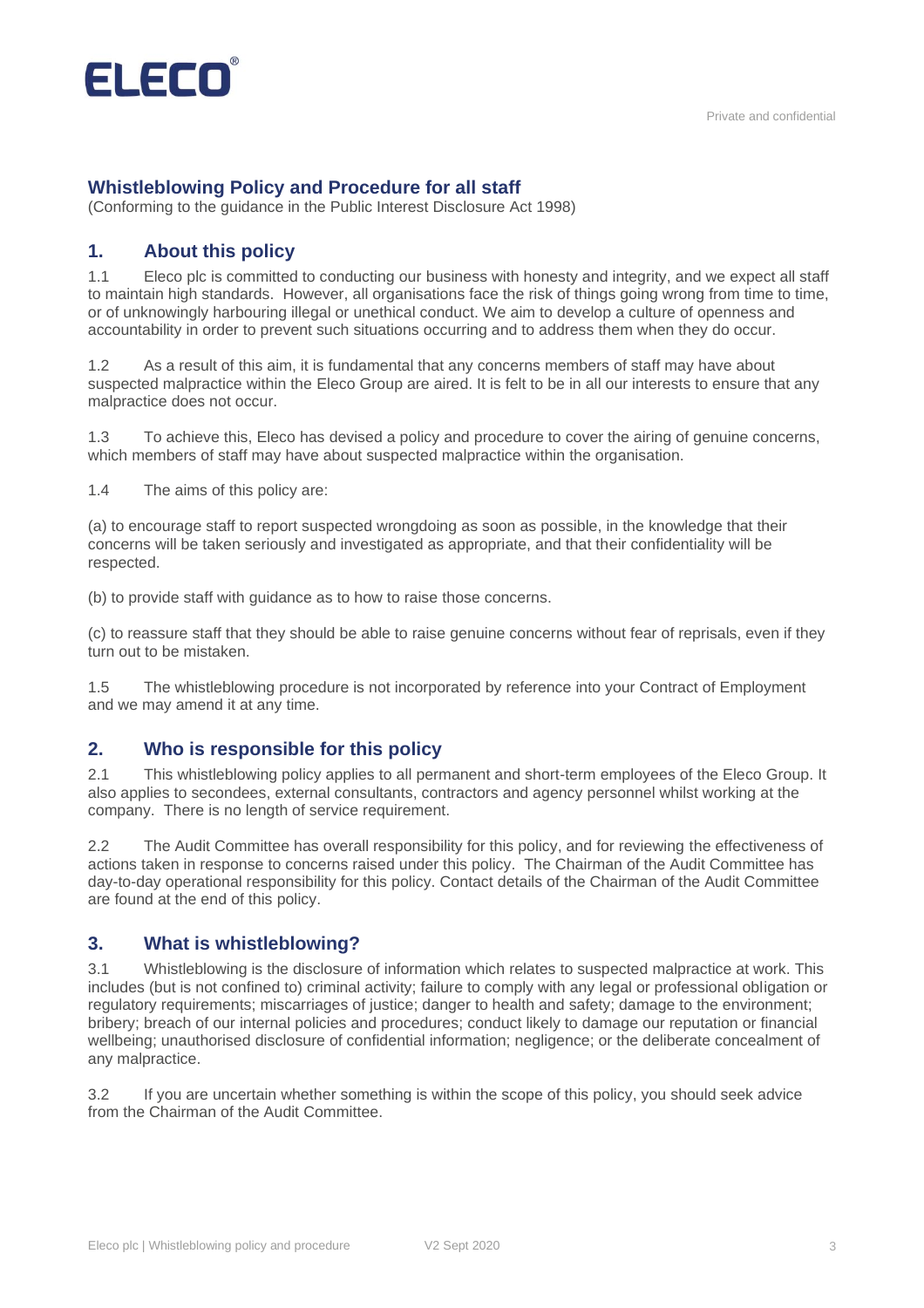

## **Whistleblowing Policy and Procedure for all staff**

(Conforming to the guidance in the Public Interest Disclosure Act 1998)

### <span id="page-2-0"></span>**1. About this policy**

1.1 Eleco plc is committed to conducting our business with honesty and integrity, and we expect all staff to maintain high standards. However, all organisations face the risk of things going wrong from time to time, or of unknowingly harbouring illegal or unethical conduct. We aim to develop a culture of openness and accountability in order to prevent such situations occurring and to address them when they do occur.

1.2 As a result of this aim, it is fundamental that any concerns members of staff may have about suspected malpractice within the Eleco Group are aired. It is felt to be in all our interests to ensure that any malpractice does not occur.

1.3 To achieve this, Eleco has devised a policy and procedure to cover the airing of genuine concerns, which members of staff may have about suspected malpractice within the organisation.

1.4 The aims of this policy are:

(a) to encourage staff to report suspected wrongdoing as soon as possible, in the knowledge that their concerns will be taken seriously and investigated as appropriate, and that their confidentiality will be respected.

(b) to provide staff with guidance as to how to raise those concerns.

(c) to reassure staff that they should be able to raise genuine concerns without fear of reprisals, even if they turn out to be mistaken.

1.5 The whistleblowing procedure is not incorporated by reference into your Contract of Employment and we may amend it at any time.

#### <span id="page-2-1"></span>**2. Who is responsible for this policy**

2.1 This whistleblowing policy applies to all permanent and short-term employees of the Eleco Group. It also applies to secondees, external consultants, contractors and agency personnel whilst working at the company. There is no length of service requirement.

2.2 The Audit Committee has overall responsibility for this policy, and for reviewing the effectiveness of actions taken in response to concerns raised under this policy. The Chairman of the Audit Committee has day-to-day operational responsibility for this policy. Contact details of the Chairman of the Audit Committee are found at the end of this policy.

#### <span id="page-2-2"></span>**3. What is whistleblowing?**

3.1 Whistleblowing is the disclosure of information which relates to suspected malpractice at work. This includes (but is not confined to) criminal activity; failure to comply with any legal or professional obligation or regulatory requirements; miscarriages of justice; danger to health and safety; damage to the environment; bribery; breach of our internal policies and procedures; conduct likely to damage our reputation or financial wellbeing; unauthorised disclosure of confidential information; negligence; or the deliberate concealment of any malpractice.

3.2 If you are uncertain whether something is within the scope of this policy, you should seek advice from the Chairman of the Audit Committee.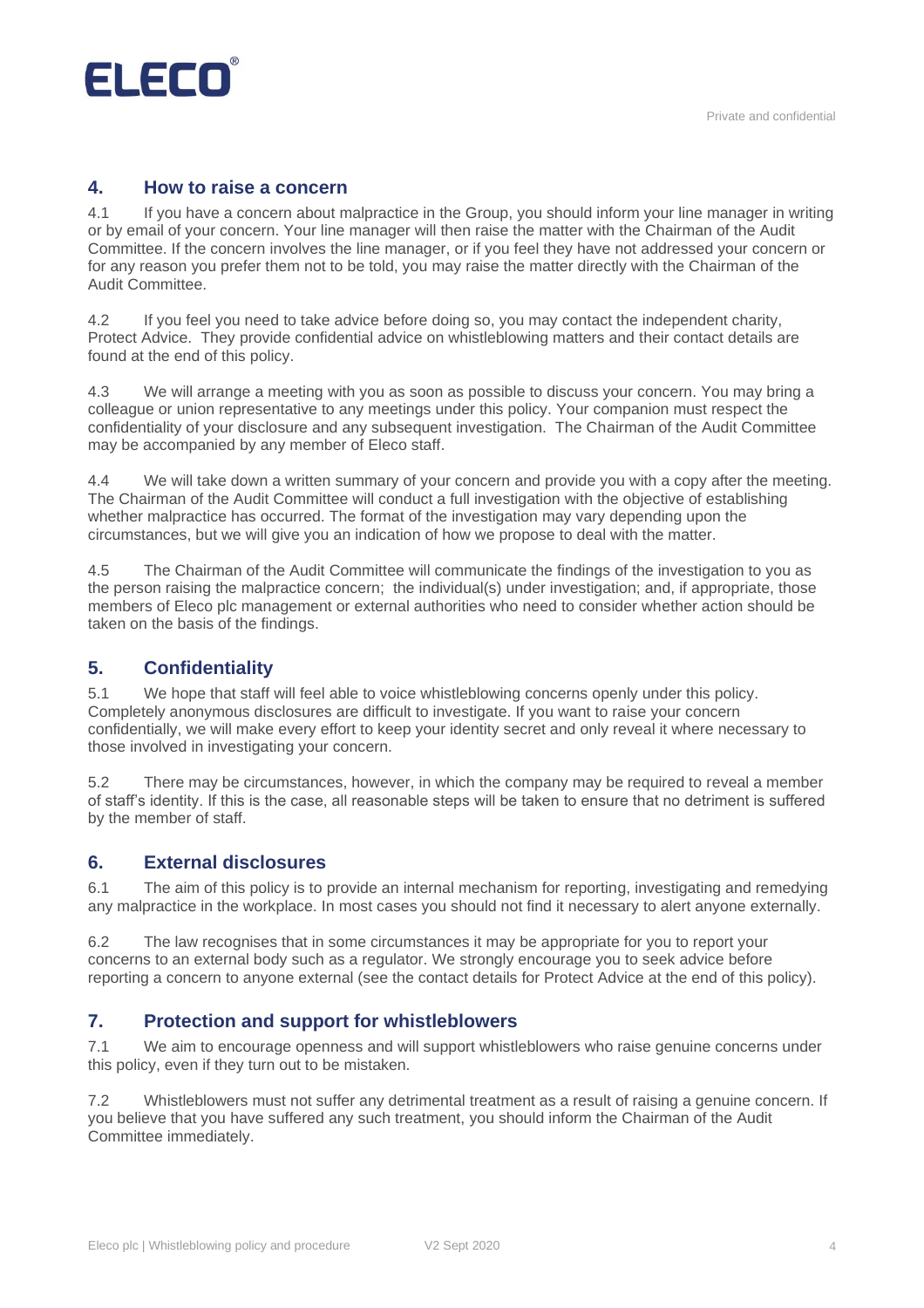

## <span id="page-3-0"></span>**4. How to raise a concern**

4.1 If you have a concern about malpractice in the Group, you should inform your line manager in writing or by email of your concern. Your line manager will then raise the matter with the Chairman of the Audit Committee. If the concern involves the line manager, or if you feel they have not addressed your concern or for any reason you prefer them not to be told, you may raise the matter directly with the Chairman of the Audit Committee.

4.2 If you feel you need to take advice before doing so, you may contact the independent charity, Protect Advice. They provide confidential advice on whistleblowing matters and their contact details are found at the end of this policy.

4.3 We will arrange a meeting with you as soon as possible to discuss your concern. You may bring a colleague or union representative to any meetings under this policy. Your companion must respect the confidentiality of your disclosure and any subsequent investigation. The Chairman of the Audit Committee may be accompanied by any member of Eleco staff.

4.4 We will take down a written summary of your concern and provide you with a copy after the meeting. The Chairman of the Audit Committee will conduct a full investigation with the objective of establishing whether malpractice has occurred. The format of the investigation may vary depending upon the circumstances, but we will give you an indication of how we propose to deal with the matter.

4.5 The Chairman of the Audit Committee will communicate the findings of the investigation to you as the person raising the malpractice concern; the individual(s) under investigation; and, if appropriate, those members of Eleco plc management or external authorities who need to consider whether action should be taken on the basis of the findings.

### <span id="page-3-1"></span>**5. Confidentiality**

5.1 We hope that staff will feel able to voice whistleblowing concerns openly under this policy. Completely anonymous disclosures are difficult to investigate. If you want to raise your concern confidentially, we will make every effort to keep your identity secret and only reveal it where necessary to those involved in investigating your concern.

5.2 There may be circumstances, however, in which the company may be required to reveal a member of staff's identity. If this is the case, all reasonable steps will be taken to ensure that no detriment is suffered by the member of staff.

### <span id="page-3-2"></span>**6. External disclosures**

6.1 The aim of this policy is to provide an internal mechanism for reporting, investigating and remedying any malpractice in the workplace. In most cases you should not find it necessary to alert anyone externally.

6.2 The law recognises that in some circumstances it may be appropriate for you to report your concerns to an external body such as a regulator. We strongly encourage you to seek advice before reporting a concern to anyone external (see the contact details for Protect Advice at the end of this policy).

### <span id="page-3-3"></span>**7. Protection and support for whistleblowers**

7.1 We aim to encourage openness and will support whistleblowers who raise genuine concerns under this policy, even if they turn out to be mistaken.

7.2 Whistleblowers must not suffer any detrimental treatment as a result of raising a genuine concern. If you believe that you have suffered any such treatment, you should inform the Chairman of the Audit Committee immediately.